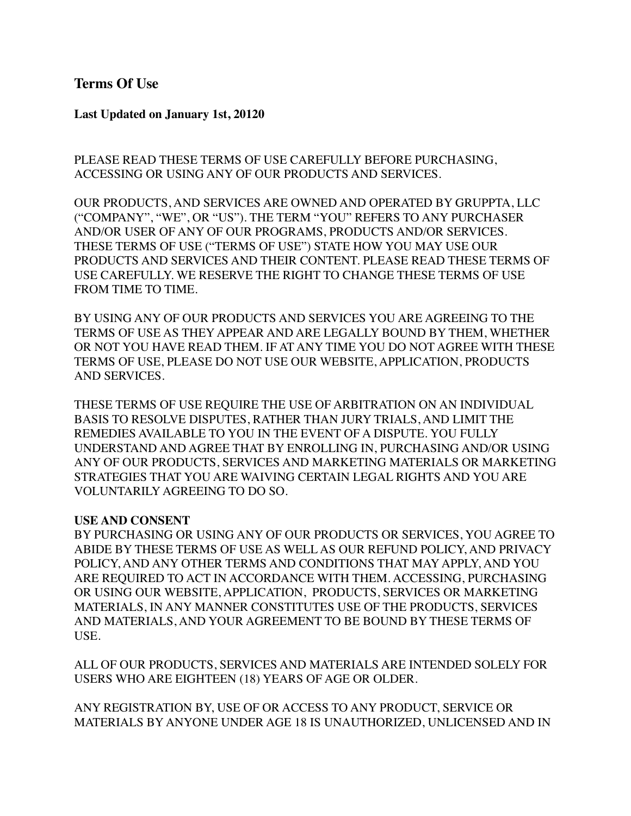## **Terms Of Use**

**Last Updated on January 1st, 20120**

PLEASE READ THESE TERMS OF USE CAREFULLY BEFORE PURCHASING, ACCESSING OR USING ANY OF OUR PRODUCTS AND SERVICES.

OUR PRODUCTS, AND SERVICES ARE OWNED AND OPERATED BY GRUPPTA, LLC ("COMPANY", "WE", OR "US"). THE TERM "YOU" REFERS TO ANY PURCHASER AND/OR USER OF ANY OF OUR PROGRAMS, PRODUCTS AND/OR SERVICES. THESE TERMS OF USE ("TERMS OF USE") STATE HOW YOU MAY USE OUR PRODUCTS AND SERVICES AND THEIR CONTENT. PLEASE READ THESE TERMS OF USE CAREFULLY. WE RESERVE THE RIGHT TO CHANGE THESE TERMS OF USE FROM TIME TO TIME.

BY USING ANY OF OUR PRODUCTS AND SERVICES YOU ARE AGREEING TO THE TERMS OF USE AS THEY APPEAR AND ARE LEGALLY BOUND BY THEM, WHETHER OR NOT YOU HAVE READ THEM. IF AT ANY TIME YOU DO NOT AGREE WITH THESE TERMS OF USE, PLEASE DO NOT USE OUR WEBSITE, APPLICATION, PRODUCTS AND SERVICES.

THESE TERMS OF USE REQUIRE THE USE OF ARBITRATION ON AN INDIVIDUAL BASIS TO RESOLVE DISPUTES, RATHER THAN JURY TRIALS, AND LIMIT THE REMEDIES AVAILABLE TO YOU IN THE EVENT OF A DISPUTE. YOU FULLY UNDERSTAND AND AGREE THAT BY ENROLLING IN, PURCHASING AND/OR USING ANY OF OUR PRODUCTS, SERVICES AND MARKETING MATERIALS OR MARKETING STRATEGIES THAT YOU ARE WAIVING CERTAIN LEGAL RIGHTS AND YOU ARE VOLUNTARILY AGREEING TO DO SO.

#### **USE AND CONSENT**

BY PURCHASING OR USING ANY OF OUR PRODUCTS OR SERVICES, YOU AGREE TO ABIDE BY THESE TERMS OF USE AS WELL AS OUR REFUND POLICY, AND PRIVACY POLICY, AND ANY OTHER TERMS AND CONDITIONS THAT MAY APPLY, AND YOU ARE REQUIRED TO ACT IN ACCORDANCE WITH THEM. ACCESSING, PURCHASING OR USING OUR WEBSITE, APPLICATION, PRODUCTS, SERVICES OR MARKETING MATERIALS, IN ANY MANNER CONSTITUTES USE OF THE PRODUCTS, SERVICES AND MATERIALS, AND YOUR AGREEMENT TO BE BOUND BY THESE TERMS OF USE.

ALL OF OUR PRODUCTS, SERVICES AND MATERIALS ARE INTENDED SOLELY FOR USERS WHO ARE EIGHTEEN (18) YEARS OF AGE OR OLDER.

ANY REGISTRATION BY, USE OF OR ACCESS TO ANY PRODUCT, SERVICE OR MATERIALS BY ANYONE UNDER AGE 18 IS UNAUTHORIZED, UNLICENSED AND IN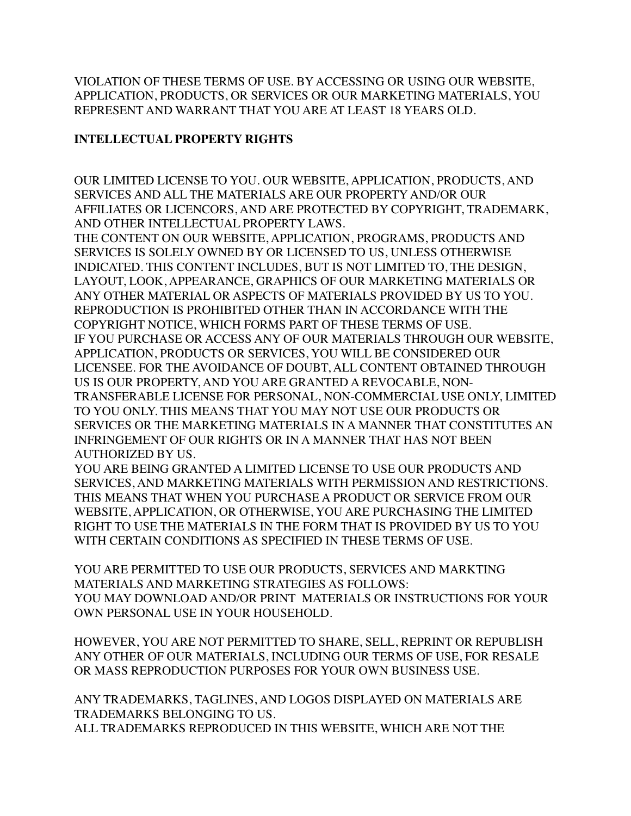VIOLATION OF THESE TERMS OF USE. BY ACCESSING OR USING OUR WEBSITE, APPLICATION, PRODUCTS, OR SERVICES OR OUR MARKETING MATERIALS, YOU REPRESENT AND WARRANT THAT YOU ARE AT LEAST 18 YEARS OLD.

# **INTELLECTUAL PROPERTY RIGHTS**

OUR LIMITED LICENSE TO YOU. OUR WEBSITE, APPLICATION, PRODUCTS, AND SERVICES AND ALL THE MATERIALS ARE OUR PROPERTY AND/OR OUR AFFILIATES OR LICENCORS, AND ARE PROTECTED BY COPYRIGHT, TRADEMARK, AND OTHER INTELLECTUAL PROPERTY LAWS.

THE CONTENT ON OUR WEBSITE, APPLICATION, PROGRAMS, PRODUCTS AND SERVICES IS SOLELY OWNED BY OR LICENSED TO US, UNLESS OTHERWISE INDICATED. THIS CONTENT INCLUDES, BUT IS NOT LIMITED TO, THE DESIGN, LAYOUT, LOOK, APPEARANCE, GRAPHICS OF OUR MARKETING MATERIALS OR ANY OTHER MATERIAL OR ASPECTS OF MATERIALS PROVIDED BY US TO YOU. REPRODUCTION IS PROHIBITED OTHER THAN IN ACCORDANCE WITH THE COPYRIGHT NOTICE, WHICH FORMS PART OF THESE TERMS OF USE. IF YOU PURCHASE OR ACCESS ANY OF OUR MATERIALS THROUGH OUR WEBSITE, APPLICATION, PRODUCTS OR SERVICES, YOU WILL BE CONSIDERED OUR LICENSEE. FOR THE AVOIDANCE OF DOUBT, ALL CONTENT OBTAINED THROUGH US IS OUR PROPERTY, AND YOU ARE GRANTED A REVOCABLE, NON-TRANSFERABLE LICENSE FOR PERSONAL, NON-COMMERCIAL USE ONLY, LIMITED TO YOU ONLY. THIS MEANS THAT YOU MAY NOT USE OUR PRODUCTS OR SERVICES OR THE MARKETING MATERIALS IN A MANNER THAT CONSTITUTES AN INFRINGEMENT OF OUR RIGHTS OR IN A MANNER THAT HAS NOT BEEN AUTHORIZED BY US.

YOU ARE BEING GRANTED A LIMITED LICENSE TO USE OUR PRODUCTS AND SERVICES, AND MARKETING MATERIALS WITH PERMISSION AND RESTRICTIONS. THIS MEANS THAT WHEN YOU PURCHASE A PRODUCT OR SERVICE FROM OUR WEBSITE, APPLICATION, OR OTHERWISE, YOU ARE PURCHASING THE LIMITED RIGHT TO USE THE MATERIALS IN THE FORM THAT IS PROVIDED BY US TO YOU WITH CERTAIN CONDITIONS AS SPECIFIED IN THESE TERMS OF USE.

YOU ARE PERMITTED TO USE OUR PRODUCTS, SERVICES AND MARKTING MATERIALS AND MARKETING STRATEGIES AS FOLLOWS: YOU MAY DOWNLOAD AND/OR PRINT MATERIALS OR INSTRUCTIONS FOR YOUR OWN PERSONAL USE IN YOUR HOUSEHOLD.

HOWEVER, YOU ARE NOT PERMITTED TO SHARE, SELL, REPRINT OR REPUBLISH ANY OTHER OF OUR MATERIALS, INCLUDING OUR TERMS OF USE, FOR RESALE OR MASS REPRODUCTION PURPOSES FOR YOUR OWN BUSINESS USE.

ANY TRADEMARKS, TAGLINES, AND LOGOS DISPLAYED ON MATERIALS ARE TRADEMARKS BELONGING TO US. ALL TRADEMARKS REPRODUCED IN THIS WEBSITE, WHICH ARE NOT THE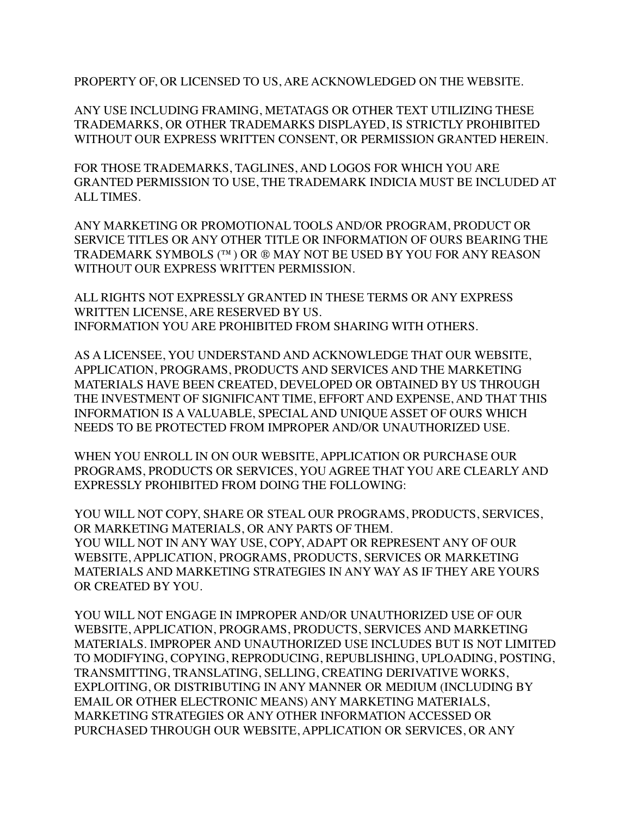PROPERTY OF, OR LICENSED TO US, ARE ACKNOWLEDGED ON THE WEBSITE.

ANY USE INCLUDING FRAMING, METATAGS OR OTHER TEXT UTILIZING THESE TRADEMARKS, OR OTHER TRADEMARKS DISPLAYED, IS STRICTLY PROHIBITED WITHOUT OUR EXPRESS WRITTEN CONSENT, OR PERMISSION GRANTED HEREIN.

FOR THOSE TRADEMARKS, TAGLINES, AND LOGOS FOR WHICH YOU ARE GRANTED PERMISSION TO USE, THE TRADEMARK INDICIA MUST BE INCLUDED AT ALL TIMES.

ANY MARKETING OR PROMOTIONAL TOOLS AND/OR PROGRAM, PRODUCT OR SERVICE TITLES OR ANY OTHER TITLE OR INFORMATION OF OURS BEARING THE TRADEMARK SYMBOLS (™) OR ® MAY NOT BE USED BY YOU FOR ANY REASON WITHOUT OUR EXPRESS WRITTEN PERMISSION.

ALL RIGHTS NOT EXPRESSLY GRANTED IN THESE TERMS OR ANY EXPRESS WRITTEN LICENSE, ARE RESERVED BY US. INFORMATION YOU ARE PROHIBITED FROM SHARING WITH OTHERS.

AS A LICENSEE, YOU UNDERSTAND AND ACKNOWLEDGE THAT OUR WEBSITE, APPLICATION, PROGRAMS, PRODUCTS AND SERVICES AND THE MARKETING MATERIALS HAVE BEEN CREATED, DEVELOPED OR OBTAINED BY US THROUGH THE INVESTMENT OF SIGNIFICANT TIME, EFFORT AND EXPENSE, AND THAT THIS INFORMATION IS A VALUABLE, SPECIAL AND UNIQUE ASSET OF OURS WHICH NEEDS TO BE PROTECTED FROM IMPROPER AND/OR UNAUTHORIZED USE.

WHEN YOU ENROLL IN ON OUR WEBSITE, APPLICATION OR PURCHASE OUR PROGRAMS, PRODUCTS OR SERVICES, YOU AGREE THAT YOU ARE CLEARLY AND EXPRESSLY PROHIBITED FROM DOING THE FOLLOWING:

YOU WILL NOT COPY, SHARE OR STEAL OUR PROGRAMS, PRODUCTS, SERVICES, OR MARKETING MATERIALS, OR ANY PARTS OF THEM. YOU WILL NOT IN ANY WAY USE, COPY, ADAPT OR REPRESENT ANY OF OUR WEBSITE, APPLICATION, PROGRAMS, PRODUCTS, SERVICES OR MARKETING MATERIALS AND MARKETING STRATEGIES IN ANY WAY AS IF THEY ARE YOURS OR CREATED BY YOU.

YOU WILL NOT ENGAGE IN IMPROPER AND/OR UNAUTHORIZED USE OF OUR WEBSITE, APPLICATION, PROGRAMS, PRODUCTS, SERVICES AND MARKETING MATERIALS. IMPROPER AND UNAUTHORIZED USE INCLUDES BUT IS NOT LIMITED TO MODIFYING, COPYING, REPRODUCING, REPUBLISHING, UPLOADING, POSTING, TRANSMITTING, TRANSLATING, SELLING, CREATING DERIVATIVE WORKS, EXPLOITING, OR DISTRIBUTING IN ANY MANNER OR MEDIUM (INCLUDING BY EMAIL OR OTHER ELECTRONIC MEANS) ANY MARKETING MATERIALS, MARKETING STRATEGIES OR ANY OTHER INFORMATION ACCESSED OR PURCHASED THROUGH OUR WEBSITE, APPLICATION OR SERVICES, OR ANY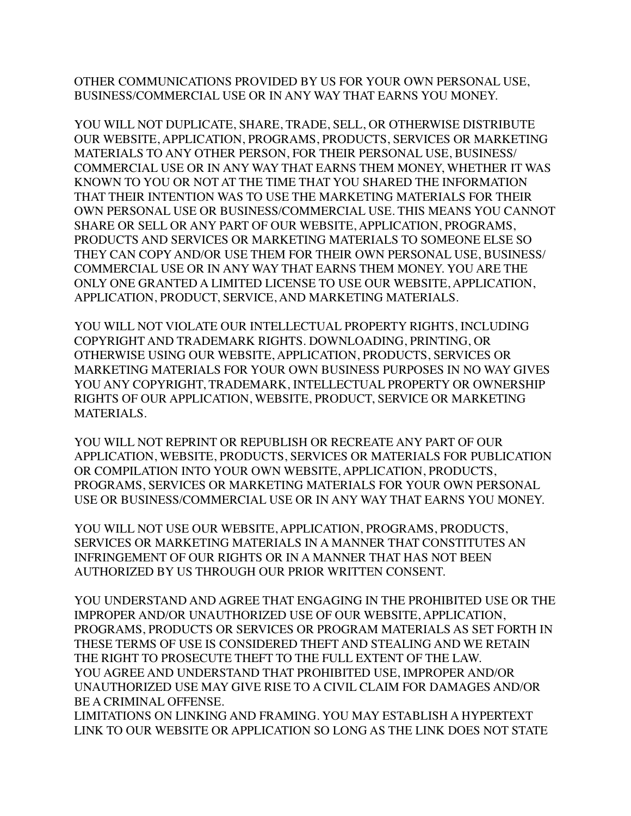OTHER COMMUNICATIONS PROVIDED BY US FOR YOUR OWN PERSONAL USE, BUSINESS/COMMERCIAL USE OR IN ANY WAY THAT EARNS YOU MONEY.

YOU WILL NOT DUPLICATE, SHARE, TRADE, SELL, OR OTHERWISE DISTRIBUTE OUR WEBSITE, APPLICATION, PROGRAMS, PRODUCTS, SERVICES OR MARKETING MATERIALS TO ANY OTHER PERSON, FOR THEIR PERSONAL USE, BUSINESS/ COMMERCIAL USE OR IN ANY WAY THAT EARNS THEM MONEY, WHETHER IT WAS KNOWN TO YOU OR NOT AT THE TIME THAT YOU SHARED THE INFORMATION THAT THEIR INTENTION WAS TO USE THE MARKETING MATERIALS FOR THEIR OWN PERSONAL USE OR BUSINESS/COMMERCIAL USE. THIS MEANS YOU CANNOT SHARE OR SELL OR ANY PART OF OUR WEBSITE, APPLICATION, PROGRAMS, PRODUCTS AND SERVICES OR MARKETING MATERIALS TO SOMEONE ELSE SO THEY CAN COPY AND/OR USE THEM FOR THEIR OWN PERSONAL USE, BUSINESS/ COMMERCIAL USE OR IN ANY WAY THAT EARNS THEM MONEY. YOU ARE THE ONLY ONE GRANTED A LIMITED LICENSE TO USE OUR WEBSITE, APPLICATION, APPLICATION, PRODUCT, SERVICE, AND MARKETING MATERIALS.

YOU WILL NOT VIOLATE OUR INTELLECTUAL PROPERTY RIGHTS, INCLUDING COPYRIGHT AND TRADEMARK RIGHTS. DOWNLOADING, PRINTING, OR OTHERWISE USING OUR WEBSITE, APPLICATION, PRODUCTS, SERVICES OR MARKETING MATERIALS FOR YOUR OWN BUSINESS PURPOSES IN NO WAY GIVES YOU ANY COPYRIGHT, TRADEMARK, INTELLECTUAL PROPERTY OR OWNERSHIP RIGHTS OF OUR APPLICATION, WEBSITE, PRODUCT, SERVICE OR MARKETING MATERIALS.

YOU WILL NOT REPRINT OR REPUBLISH OR RECREATE ANY PART OF OUR APPLICATION, WEBSITE, PRODUCTS, SERVICES OR MATERIALS FOR PUBLICATION OR COMPILATION INTO YOUR OWN WEBSITE, APPLICATION, PRODUCTS, PROGRAMS, SERVICES OR MARKETING MATERIALS FOR YOUR OWN PERSONAL USE OR BUSINESS/COMMERCIAL USE OR IN ANY WAY THAT EARNS YOU MONEY.

YOU WILL NOT USE OUR WEBSITE, APPLICATION, PROGRAMS, PRODUCTS, SERVICES OR MARKETING MATERIALS IN A MANNER THAT CONSTITUTES AN INFRINGEMENT OF OUR RIGHTS OR IN A MANNER THAT HAS NOT BEEN AUTHORIZED BY US THROUGH OUR PRIOR WRITTEN CONSENT.

YOU UNDERSTAND AND AGREE THAT ENGAGING IN THE PROHIBITED USE OR THE IMPROPER AND/OR UNAUTHORIZED USE OF OUR WEBSITE, APPLICATION, PROGRAMS, PRODUCTS OR SERVICES OR PROGRAM MATERIALS AS SET FORTH IN THESE TERMS OF USE IS CONSIDERED THEFT AND STEALING AND WE RETAIN THE RIGHT TO PROSECUTE THEFT TO THE FULL EXTENT OF THE LAW. YOU AGREE AND UNDERSTAND THAT PROHIBITED USE, IMPROPER AND/OR UNAUTHORIZED USE MAY GIVE RISE TO A CIVIL CLAIM FOR DAMAGES AND/OR BE A CRIMINAL OFFENSE.

LIMITATIONS ON LINKING AND FRAMING. YOU MAY ESTABLISH A HYPERTEXT LINK TO OUR WEBSITE OR APPLICATION SO LONG AS THE LINK DOES NOT STATE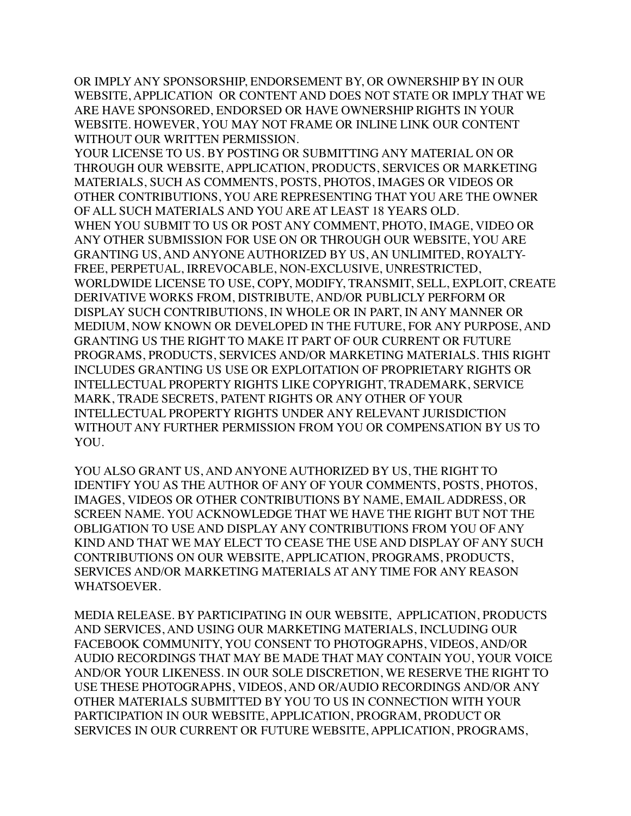OR IMPLY ANY SPONSORSHIP, ENDORSEMENT BY, OR OWNERSHIP BY IN OUR WEBSITE, APPLICATION OR CONTENT AND DOES NOT STATE OR IMPLY THAT WE ARE HAVE SPONSORED, ENDORSED OR HAVE OWNERSHIP RIGHTS IN YOUR WEBSITE. HOWEVER, YOU MAY NOT FRAME OR INLINE LINK OUR CONTENT WITHOUT OUR WRITTEN PERMISSION.

YOUR LICENSE TO US. BY POSTING OR SUBMITTING ANY MATERIAL ON OR THROUGH OUR WEBSITE, APPLICATION, PRODUCTS, SERVICES OR MARKETING MATERIALS, SUCH AS COMMENTS, POSTS, PHOTOS, IMAGES OR VIDEOS OR OTHER CONTRIBUTIONS, YOU ARE REPRESENTING THAT YOU ARE THE OWNER OF ALL SUCH MATERIALS AND YOU ARE AT LEAST 18 YEARS OLD. WHEN YOU SUBMIT TO US OR POST ANY COMMENT, PHOTO, IMAGE, VIDEO OR ANY OTHER SUBMISSION FOR USE ON OR THROUGH OUR WEBSITE, YOU ARE GRANTING US, AND ANYONE AUTHORIZED BY US, AN UNLIMITED, ROYALTY-FREE, PERPETUAL, IRREVOCABLE, NON-EXCLUSIVE, UNRESTRICTED, WORLDWIDE LICENSE TO USE, COPY, MODIFY, TRANSMIT, SELL, EXPLOIT, CREATE DERIVATIVE WORKS FROM, DISTRIBUTE, AND/OR PUBLICLY PERFORM OR DISPLAY SUCH CONTRIBUTIONS, IN WHOLE OR IN PART, IN ANY MANNER OR MEDIUM, NOW KNOWN OR DEVELOPED IN THE FUTURE, FOR ANY PURPOSE, AND GRANTING US THE RIGHT TO MAKE IT PART OF OUR CURRENT OR FUTURE PROGRAMS, PRODUCTS, SERVICES AND/OR MARKETING MATERIALS. THIS RIGHT INCLUDES GRANTING US USE OR EXPLOITATION OF PROPRIETARY RIGHTS OR INTELLECTUAL PROPERTY RIGHTS LIKE COPYRIGHT, TRADEMARK, SERVICE MARK, TRADE SECRETS, PATENT RIGHTS OR ANY OTHER OF YOUR INTELLECTUAL PROPERTY RIGHTS UNDER ANY RELEVANT JURISDICTION WITHOUT ANY FURTHER PERMISSION FROM YOU OR COMPENSATION BY US TO YOU.

YOU ALSO GRANT US, AND ANYONE AUTHORIZED BY US, THE RIGHT TO IDENTIFY YOU AS THE AUTHOR OF ANY OF YOUR COMMENTS, POSTS, PHOTOS, IMAGES, VIDEOS OR OTHER CONTRIBUTIONS BY NAME, EMAIL ADDRESS, OR SCREEN NAME. YOU ACKNOWLEDGE THAT WE HAVE THE RIGHT BUT NOT THE OBLIGATION TO USE AND DISPLAY ANY CONTRIBUTIONS FROM YOU OF ANY KIND AND THAT WE MAY ELECT TO CEASE THE USE AND DISPLAY OF ANY SUCH CONTRIBUTIONS ON OUR WEBSITE, APPLICATION, PROGRAMS, PRODUCTS, SERVICES AND/OR MARKETING MATERIALS AT ANY TIME FOR ANY REASON WHATSOEVER.

MEDIA RELEASE. BY PARTICIPATING IN OUR WEBSITE, APPLICATION, PRODUCTS AND SERVICES, AND USING OUR MARKETING MATERIALS, INCLUDING OUR FACEBOOK COMMUNITY, YOU CONSENT TO PHOTOGRAPHS, VIDEOS, AND/OR AUDIO RECORDINGS THAT MAY BE MADE THAT MAY CONTAIN YOU, YOUR VOICE AND/OR YOUR LIKENESS. IN OUR SOLE DISCRETION, WE RESERVE THE RIGHT TO USE THESE PHOTOGRAPHS, VIDEOS, AND OR/AUDIO RECORDINGS AND/OR ANY OTHER MATERIALS SUBMITTED BY YOU TO US IN CONNECTION WITH YOUR PARTICIPATION IN OUR WEBSITE, APPLICATION, PROGRAM, PRODUCT OR SERVICES IN OUR CURRENT OR FUTURE WEBSITE, APPLICATION, PROGRAMS,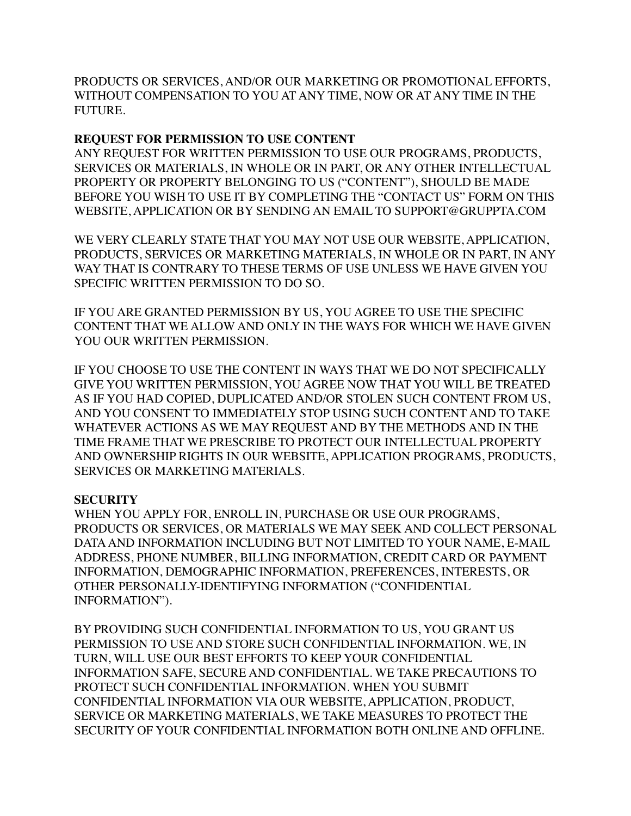PRODUCTS OR SERVICES, AND/OR OUR MARKETING OR PROMOTIONAL EFFORTS, WITHOUT COMPENSATION TO YOU AT ANY TIME, NOW OR AT ANY TIME IN THE FUTURE.

### **REQUEST FOR PERMISSION TO USE CONTENT**

ANY REQUEST FOR WRITTEN PERMISSION TO USE OUR PROGRAMS, PRODUCTS, SERVICES OR MATERIALS, IN WHOLE OR IN PART, OR ANY OTHER INTELLECTUAL PROPERTY OR PROPERTY BELONGING TO US ("CONTENT"), SHOULD BE MADE BEFORE YOU WISH TO USE IT BY COMPLETING THE "CONTACT US" FORM ON THIS WEBSITE, APPLICATION OR BY SENDING AN EMAIL TO SUPPORT@GRUPPTA.COM

WE VERY CLEARLY STATE THAT YOU MAY NOT USE OUR WEBSITE, APPLICATION, PRODUCTS, SERVICES OR MARKETING MATERIALS, IN WHOLE OR IN PART, IN ANY WAY THAT IS CONTRARY TO THESE TERMS OF USE UNLESS WE HAVE GIVEN YOU SPECIFIC WRITTEN PERMISSION TO DO SO.

IF YOU ARE GRANTED PERMISSION BY US, YOU AGREE TO USE THE SPECIFIC CONTENT THAT WE ALLOW AND ONLY IN THE WAYS FOR WHICH WE HAVE GIVEN YOU OUR WRITTEN PERMISSION.

IF YOU CHOOSE TO USE THE CONTENT IN WAYS THAT WE DO NOT SPECIFICALLY GIVE YOU WRITTEN PERMISSION, YOU AGREE NOW THAT YOU WILL BE TREATED AS IF YOU HAD COPIED, DUPLICATED AND/OR STOLEN SUCH CONTENT FROM US, AND YOU CONSENT TO IMMEDIATELY STOP USING SUCH CONTENT AND TO TAKE WHATEVER ACTIONS AS WE MAY REQUEST AND BY THE METHODS AND IN THE TIME FRAME THAT WE PRESCRIBE TO PROTECT OUR INTELLECTUAL PROPERTY AND OWNERSHIP RIGHTS IN OUR WEBSITE, APPLICATION PROGRAMS, PRODUCTS, SERVICES OR MARKETING MATERIALS.

#### **SECURITY**

WHEN YOU APPLY FOR, ENROLL IN, PURCHASE OR USE OUR PROGRAMS, PRODUCTS OR SERVICES, OR MATERIALS WE MAY SEEK AND COLLECT PERSONAL DATA AND INFORMATION INCLUDING BUT NOT LIMITED TO YOUR NAME, E-MAIL ADDRESS, PHONE NUMBER, BILLING INFORMATION, CREDIT CARD OR PAYMENT INFORMATION, DEMOGRAPHIC INFORMATION, PREFERENCES, INTERESTS, OR OTHER PERSONALLY-IDENTIFYING INFORMATION ("CONFIDENTIAL INFORMATION").

BY PROVIDING SUCH CONFIDENTIAL INFORMATION TO US, YOU GRANT US PERMISSION TO USE AND STORE SUCH CONFIDENTIAL INFORMATION. WE, IN TURN, WILL USE OUR BEST EFFORTS TO KEEP YOUR CONFIDENTIAL INFORMATION SAFE, SECURE AND CONFIDENTIAL. WE TAKE PRECAUTIONS TO PROTECT SUCH CONFIDENTIAL INFORMATION. WHEN YOU SUBMIT CONFIDENTIAL INFORMATION VIA OUR WEBSITE, APPLICATION, PRODUCT, SERVICE OR MARKETING MATERIALS, WE TAKE MEASURES TO PROTECT THE SECURITY OF YOUR CONFIDENTIAL INFORMATION BOTH ONLINE AND OFFLINE.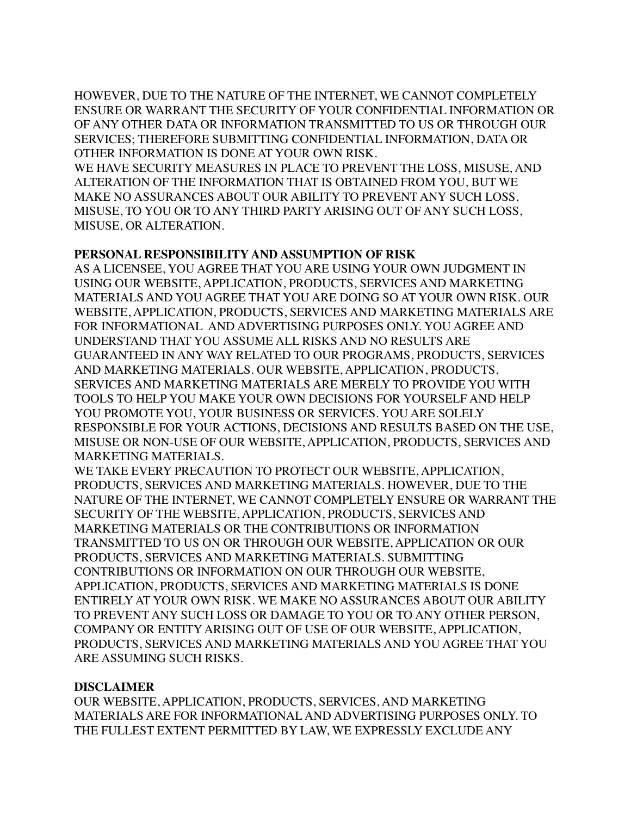HOWEVER, DUE TO THE NATURE OF THE INTERNET, WE CANNOT COMPLETELY ENSURE OR WARRANT THE SECURITY OF YOUR CONFIDENTIAL INFORMATION OR OF ANY OTHER DATA OR INFORMATION TRANSMITTED TO US OR THROUGH OUR SERVICES; THEREFORE SUBMITTING CONFIDENTIAL INFORMATION, DATA OR OTHER INFORMATION IS DONE AT YOUR OWN RISK.

WE HAVE SECURITY MEASURES IN PLACE TO PREVENT THE LOSS, MISUSE, AND ALTERATION OF THE INFORMATION THAT IS OBTAINED FROM YOU, BUT WE MAKE NO ASSURANCES ABOUT OUR ABILITY TO PREVENT ANY SUCH LOSS, MISUSE, TO YOU OR TO ANY THIRD PARTY ARISING OUT OF ANY SUCH LOSS, MISUSE, OR ALTERATION.

### **PERSONAL RESPONSIBILITY AND ASSUMPTION OF RISK**

AS A LICENSEE, YOU AGREE THAT YOU ARE USING YOUR OWN JUDGMENT IN USING OUR WEBSITE, APPLICATION, PRODUCTS, SERVICES AND MARKETING MATERIALS AND YOU AGREE THAT YOU ARE DOING SO AT YOUR OWN RISK. OUR WEBSITE, APPLICATION, PRODUCTS, SERVICES AND MARKETING MATERIALS ARE FOR INFORMATIONAL AND ADVERTISING PURPOSES ONLY. YOU AGREE AND UNDERSTAND THAT YOU ASSUME ALL RISKS AND NO RESULTS ARE GUARANTEED IN ANY WAY RELATED TO OUR PROGRAMS, PRODUCTS, SERVICES AND MARKETING MATERIALS. OUR WEBSITE, APPLICATION, PRODUCTS, SERVICES AND MARKETING MATERIALS ARE MERELY TO PROVIDE YOU WITH TOOLS TO HELP YOU MAKE YOUR OWN DECISIONS FOR YOURSELF AND HELP YOU PROMOTE YOU, YOUR BUSINESS OR SERVICES. YOU ARE SOLELY RESPONSIBLE FOR YOUR ACTIONS, DECISIONS AND RESULTS BASED ON THE USE, MISUSE OR NON-USE OF OUR WEBSITE, APPLICATION, PRODUCTS, SERVICES AND MARKETING MATERIALS.

WE TAKE EVERY PRECAUTION TO PROTECT OUR WEBSITE, APPLICATION, PRODUCTS, SERVICES AND MARKETING MATERIALS. HOWEVER, DUE TO THE NATURE OF THE INTERNET, WE CANNOT COMPLETELY ENSURE OR WARRANT THE SECURITY OF THE WEBSITE, APPLICATION, PRODUCTS, SERVICES AND MARKETING MATERIALS OR THE CONTRIBUTIONS OR INFORMATION TRANSMITTED TO US ON OR THROUGH OUR WEBSITE, APPLICATION OR OUR PRODUCTS, SERVICES AND MARKETING MATERIALS. SUBMITTING CONTRIBUTIONS OR INFORMATION ON OUR THROUGH OUR WEBSITE, APPLICATION, PRODUCTS, SERVICES AND MARKETING MATERIALS IS DONE ENTIRELY AT YOUR OWN RISK. WE MAKE NO ASSURANCES ABOUT OUR ABILITY TO PREVENT ANY SUCH LOSS OR DAMAGE TO YOU OR TO ANY OTHER PERSON, COMPANY OR ENTITY ARISING OUT OF USE OF OUR WEBSITE, APPLICATION, PRODUCTS, SERVICES AND MARKETING MATERIALS AND YOU AGREE THAT YOU ARE ASSUMING SUCH RISKS.

#### **DISCLAIMER**

OUR WEBSITE, APPLICATION, PRODUCTS, SERVICES, AND MARKETING MATERIALS ARE FOR INFORMATIONAL AND ADVERTISING PURPOSES ONLY. TO THE FULLEST EXTENT PERMITTED BY LAW, WE EXPRESSLY EXCLUDE ANY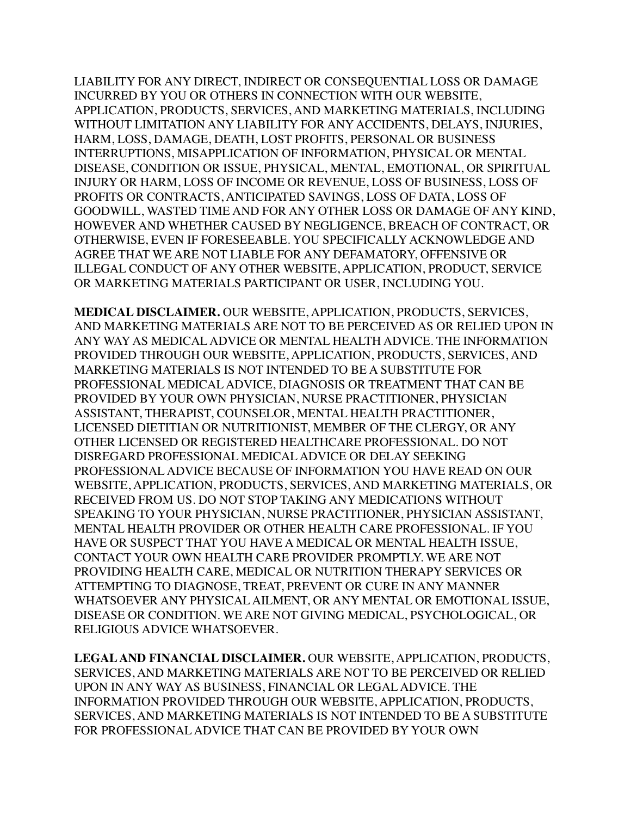LIABILITY FOR ANY DIRECT, INDIRECT OR CONSEQUENTIAL LOSS OR DAMAGE INCURRED BY YOU OR OTHERS IN CONNECTION WITH OUR WEBSITE, APPLICATION, PRODUCTS, SERVICES, AND MARKETING MATERIALS, INCLUDING WITHOUT LIMITATION ANY LIABILITY FOR ANY ACCIDENTS, DELAYS, INJURIES, HARM, LOSS, DAMAGE, DEATH, LOST PROFITS, PERSONAL OR BUSINESS INTERRUPTIONS, MISAPPLICATION OF INFORMATION, PHYSICAL OR MENTAL DISEASE, CONDITION OR ISSUE, PHYSICAL, MENTAL, EMOTIONAL, OR SPIRITUAL INJURY OR HARM, LOSS OF INCOME OR REVENUE, LOSS OF BUSINESS, LOSS OF PROFITS OR CONTRACTS, ANTICIPATED SAVINGS, LOSS OF DATA, LOSS OF GOODWILL, WASTED TIME AND FOR ANY OTHER LOSS OR DAMAGE OF ANY KIND, HOWEVER AND WHETHER CAUSED BY NEGLIGENCE, BREACH OF CONTRACT, OR OTHERWISE, EVEN IF FORESEEABLE. YOU SPECIFICALLY ACKNOWLEDGE AND AGREE THAT WE ARE NOT LIABLE FOR ANY DEFAMATORY, OFFENSIVE OR ILLEGAL CONDUCT OF ANY OTHER WEBSITE, APPLICATION, PRODUCT, SERVICE OR MARKETING MATERIALS PARTICIPANT OR USER, INCLUDING YOU.

**MEDICAL DISCLAIMER.** OUR WEBSITE, APPLICATION, PRODUCTS, SERVICES, AND MARKETING MATERIALS ARE NOT TO BE PERCEIVED AS OR RELIED UPON IN ANY WAY AS MEDICAL ADVICE OR MENTAL HEALTH ADVICE. THE INFORMATION PROVIDED THROUGH OUR WEBSITE, APPLICATION, PRODUCTS, SERVICES, AND MARKETING MATERIALS IS NOT INTENDED TO BE A SUBSTITUTE FOR PROFESSIONAL MEDICAL ADVICE, DIAGNOSIS OR TREATMENT THAT CAN BE PROVIDED BY YOUR OWN PHYSICIAN, NURSE PRACTITIONER, PHYSICIAN ASSISTANT, THERAPIST, COUNSELOR, MENTAL HEALTH PRACTITIONER, LICENSED DIETITIAN OR NUTRITIONIST, MEMBER OF THE CLERGY, OR ANY OTHER LICENSED OR REGISTERED HEALTHCARE PROFESSIONAL. DO NOT DISREGARD PROFESSIONAL MEDICAL ADVICE OR DELAY SEEKING PROFESSIONAL ADVICE BECAUSE OF INFORMATION YOU HAVE READ ON OUR WEBSITE, APPLICATION, PRODUCTS, SERVICES, AND MARKETING MATERIALS, OR RECEIVED FROM US. DO NOT STOP TAKING ANY MEDICATIONS WITHOUT SPEAKING TO YOUR PHYSICIAN, NURSE PRACTITIONER, PHYSICIAN ASSISTANT, MENTAL HEALTH PROVIDER OR OTHER HEALTH CARE PROFESSIONAL. IF YOU HAVE OR SUSPECT THAT YOU HAVE A MEDICAL OR MENTAL HEALTH ISSUE, CONTACT YOUR OWN HEALTH CARE PROVIDER PROMPTLY. WE ARE NOT PROVIDING HEALTH CARE, MEDICAL OR NUTRITION THERAPY SERVICES OR ATTEMPTING TO DIAGNOSE, TREAT, PREVENT OR CURE IN ANY MANNER WHATSOEVER ANY PHYSICAL AILMENT, OR ANY MENTAL OR EMOTIONAL ISSUE, DISEASE OR CONDITION. WE ARE NOT GIVING MEDICAL, PSYCHOLOGICAL, OR RELIGIOUS ADVICE WHATSOEVER.

**LEGAL AND FINANCIAL DISCLAIMER.** OUR WEBSITE, APPLICATION, PRODUCTS, SERVICES, AND MARKETING MATERIALS ARE NOT TO BE PERCEIVED OR RELIED UPON IN ANY WAY AS BUSINESS, FINANCIAL OR LEGAL ADVICE. THE INFORMATION PROVIDED THROUGH OUR WEBSITE, APPLICATION, PRODUCTS, SERVICES, AND MARKETING MATERIALS IS NOT INTENDED TO BE A SUBSTITUTE FOR PROFESSIONAL ADVICE THAT CAN BE PROVIDED BY YOUR OWN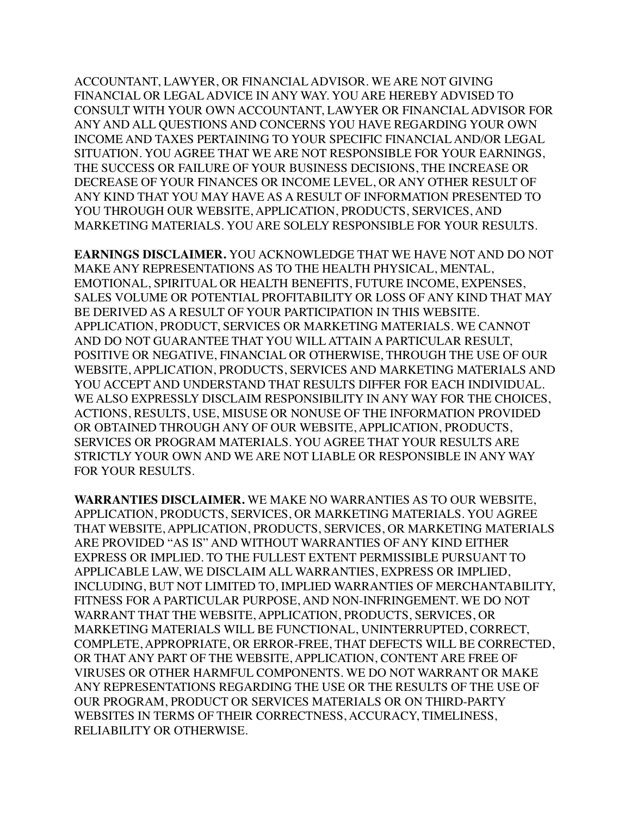ACCOUNTANT, LAWYER, OR FINANCIAL ADVISOR. WE ARE NOT GIVING FINANCIAL OR LEGAL ADVICE IN ANY WAY. YOU ARE HEREBY ADVISED TO CONSULT WITH YOUR OWN ACCOUNTANT, LAWYER OR FINANCIAL ADVISOR FOR ANY AND ALL QUESTIONS AND CONCERNS YOU HAVE REGARDING YOUR OWN INCOME AND TAXES PERTAINING TO YOUR SPECIFIC FINANCIAL AND/OR LEGAL SITUATION. YOU AGREE THAT WE ARE NOT RESPONSIBLE FOR YOUR EARNINGS, THE SUCCESS OR FAILURE OF YOUR BUSINESS DECISIONS, THE INCREASE OR DECREASE OF YOUR FINANCES OR INCOME LEVEL, OR ANY OTHER RESULT OF ANY KIND THAT YOU MAY HAVE AS A RESULT OF INFORMATION PRESENTED TO YOU THROUGH OUR WEBSITE, APPLICATION, PRODUCTS, SERVICES, AND MARKETING MATERIALS. YOU ARE SOLELY RESPONSIBLE FOR YOUR RESULTS.

**EARNINGS DISCLAIMER.** YOU ACKNOWLEDGE THAT WE HAVE NOT AND DO NOT MAKE ANY REPRESENTATIONS AS TO THE HEALTH PHYSICAL, MENTAL, EMOTIONAL, SPIRITUAL OR HEALTH BENEFITS, FUTURE INCOME, EXPENSES, SALES VOLUME OR POTENTIAL PROFITABILITY OR LOSS OF ANY KIND THAT MAY BE DERIVED AS A RESULT OF YOUR PARTICIPATION IN THIS WEBSITE. APPLICATION, PRODUCT, SERVICES OR MARKETING MATERIALS. WE CANNOT AND DO NOT GUARANTEE THAT YOU WILL ATTAIN A PARTICULAR RESULT, POSITIVE OR NEGATIVE, FINANCIAL OR OTHERWISE, THROUGH THE USE OF OUR WEBSITE, APPLICATION, PRODUCTS, SERVICES AND MARKETING MATERIALS AND YOU ACCEPT AND UNDERSTAND THAT RESULTS DIFFER FOR EACH INDIVIDUAL. WE ALSO EXPRESSLY DISCLAIM RESPONSIBILITY IN ANY WAY FOR THE CHOICES, ACTIONS, RESULTS, USE, MISUSE OR NONUSE OF THE INFORMATION PROVIDED OR OBTAINED THROUGH ANY OF OUR WEBSITE, APPLICATION, PRODUCTS, SERVICES OR PROGRAM MATERIALS. YOU AGREE THAT YOUR RESULTS ARE STRICTLY YOUR OWN AND WE ARE NOT LIABLE OR RESPONSIBLE IN ANY WAY FOR YOUR RESULTS.

**WARRANTIES DISCLAIMER.** WE MAKE NO WARRANTIES AS TO OUR WEBSITE, APPLICATION, PRODUCTS, SERVICES, OR MARKETING MATERIALS. YOU AGREE THAT WEBSITE, APPLICATION, PRODUCTS, SERVICES, OR MARKETING MATERIALS ARE PROVIDED "AS IS" AND WITHOUT WARRANTIES OF ANY KIND EITHER EXPRESS OR IMPLIED. TO THE FULLEST EXTENT PERMISSIBLE PURSUANT TO APPLICABLE LAW, WE DISCLAIM ALL WARRANTIES, EXPRESS OR IMPLIED, INCLUDING, BUT NOT LIMITED TO, IMPLIED WARRANTIES OF MERCHANTABILITY, FITNESS FOR A PARTICULAR PURPOSE, AND NON-INFRINGEMENT. WE DO NOT WARRANT THAT THE WEBSITE, APPLICATION, PRODUCTS, SERVICES, OR MARKETING MATERIALS WILL BE FUNCTIONAL, UNINTERRUPTED, CORRECT, COMPLETE, APPROPRIATE, OR ERROR-FREE, THAT DEFECTS WILL BE CORRECTED, OR THAT ANY PART OF THE WEBSITE, APPLICATION, CONTENT ARE FREE OF VIRUSES OR OTHER HARMFUL COMPONENTS. WE DO NOT WARRANT OR MAKE ANY REPRESENTATIONS REGARDING THE USE OR THE RESULTS OF THE USE OF OUR PROGRAM, PRODUCT OR SERVICES MATERIALS OR ON THIRD-PARTY WEBSITES IN TERMS OF THEIR CORRECTNESS, ACCURACY, TIMELINESS, RELIABILITY OR OTHERWISE.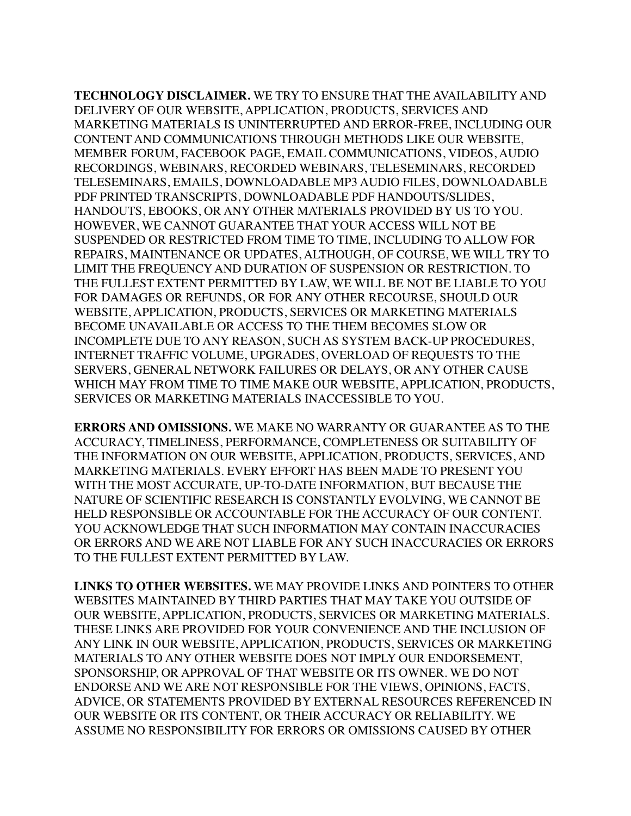**TECHNOLOGY DISCLAIMER.** WE TRY TO ENSURE THAT THE AVAILABILITY AND DELIVERY OF OUR WEBSITE, APPLICATION, PRODUCTS, SERVICES AND MARKETING MATERIALS IS UNINTERRUPTED AND ERROR-FREE, INCLUDING OUR CONTENT AND COMMUNICATIONS THROUGH METHODS LIKE OUR WEBSITE, MEMBER FORUM, FACEBOOK PAGE, EMAIL COMMUNICATIONS, VIDEOS, AUDIO RECORDINGS, WEBINARS, RECORDED WEBINARS, TELESEMINARS, RECORDED TELESEMINARS, EMAILS, DOWNLOADABLE MP3 AUDIO FILES, DOWNLOADABLE PDF PRINTED TRANSCRIPTS, DOWNLOADABLE PDF HANDOUTS/SLIDES, HANDOUTS, EBOOKS, OR ANY OTHER MATERIALS PROVIDED BY US TO YOU. HOWEVER, WE CANNOT GUARANTEE THAT YOUR ACCESS WILL NOT BE SUSPENDED OR RESTRICTED FROM TIME TO TIME, INCLUDING TO ALLOW FOR REPAIRS, MAINTENANCE OR UPDATES, ALTHOUGH, OF COURSE, WE WILL TRY TO LIMIT THE FREQUENCY AND DURATION OF SUSPENSION OR RESTRICTION. TO THE FULLEST EXTENT PERMITTED BY LAW, WE WILL BE NOT BE LIABLE TO YOU FOR DAMAGES OR REFUNDS, OR FOR ANY OTHER RECOURSE, SHOULD OUR WEBSITE, APPLICATION, PRODUCTS, SERVICES OR MARKETING MATERIALS BECOME UNAVAILABLE OR ACCESS TO THE THEM BECOMES SLOW OR INCOMPLETE DUE TO ANY REASON, SUCH AS SYSTEM BACK-UP PROCEDURES, INTERNET TRAFFIC VOLUME, UPGRADES, OVERLOAD OF REQUESTS TO THE SERVERS, GENERAL NETWORK FAILURES OR DELAYS, OR ANY OTHER CAUSE WHICH MAY FROM TIME TO TIME MAKE OUR WEBSITE, APPLICATION, PRODUCTS, SERVICES OR MARKETING MATERIALS INACCESSIBLE TO YOU.

**ERRORS AND OMISSIONS.** WE MAKE NO WARRANTY OR GUARANTEE AS TO THE ACCURACY, TIMELINESS, PERFORMANCE, COMPLETENESS OR SUITABILITY OF THE INFORMATION ON OUR WEBSITE, APPLICATION, PRODUCTS, SERVICES, AND MARKETING MATERIALS. EVERY EFFORT HAS BEEN MADE TO PRESENT YOU WITH THE MOST ACCURATE, UP-TO-DATE INFORMATION, BUT BECAUSE THE NATURE OF SCIENTIFIC RESEARCH IS CONSTANTLY EVOLVING, WE CANNOT BE HELD RESPONSIBLE OR ACCOUNTABLE FOR THE ACCURACY OF OUR CONTENT. YOU ACKNOWLEDGE THAT SUCH INFORMATION MAY CONTAIN INACCURACIES OR ERRORS AND WE ARE NOT LIABLE FOR ANY SUCH INACCURACIES OR ERRORS TO THE FULLEST EXTENT PERMITTED BY LAW.

**LINKS TO OTHER WEBSITES.** WE MAY PROVIDE LINKS AND POINTERS TO OTHER WEBSITES MAINTAINED BY THIRD PARTIES THAT MAY TAKE YOU OUTSIDE OF OUR WEBSITE, APPLICATION, PRODUCTS, SERVICES OR MARKETING MATERIALS. THESE LINKS ARE PROVIDED FOR YOUR CONVENIENCE AND THE INCLUSION OF ANY LINK IN OUR WEBSITE, APPLICATION, PRODUCTS, SERVICES OR MARKETING MATERIALS TO ANY OTHER WEBSITE DOES NOT IMPLY OUR ENDORSEMENT, SPONSORSHIP, OR APPROVAL OF THAT WEBSITE OR ITS OWNER. WE DO NOT ENDORSE AND WE ARE NOT RESPONSIBLE FOR THE VIEWS, OPINIONS, FACTS, ADVICE, OR STATEMENTS PROVIDED BY EXTERNAL RESOURCES REFERENCED IN OUR WEBSITE OR ITS CONTENT, OR THEIR ACCURACY OR RELIABILITY. WE ASSUME NO RESPONSIBILITY FOR ERRORS OR OMISSIONS CAUSED BY OTHER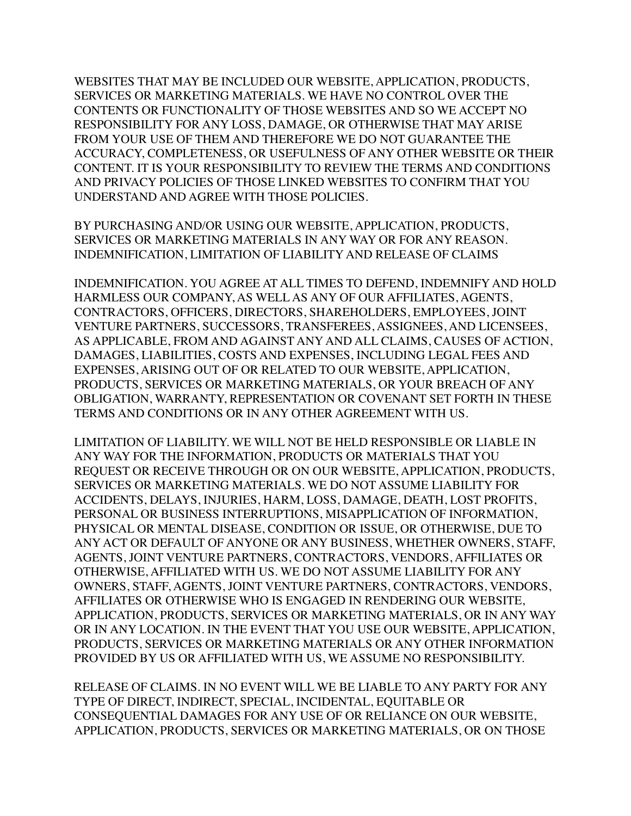WEBSITES THAT MAY BE INCLUDED OUR WEBSITE, APPLICATION, PRODUCTS, SERVICES OR MARKETING MATERIALS. WE HAVE NO CONTROL OVER THE CONTENTS OR FUNCTIONALITY OF THOSE WEBSITES AND SO WE ACCEPT NO RESPONSIBILITY FOR ANY LOSS, DAMAGE, OR OTHERWISE THAT MAY ARISE FROM YOUR USE OF THEM AND THEREFORE WE DO NOT GUARANTEE THE ACCURACY, COMPLETENESS, OR USEFULNESS OF ANY OTHER WEBSITE OR THEIR CONTENT. IT IS YOUR RESPONSIBILITY TO REVIEW THE TERMS AND CONDITIONS AND PRIVACY POLICIES OF THOSE LINKED WEBSITES TO CONFIRM THAT YOU UNDERSTAND AND AGREE WITH THOSE POLICIES.

BY PURCHASING AND/OR USING OUR WEBSITE, APPLICATION, PRODUCTS, SERVICES OR MARKETING MATERIALS IN ANY WAY OR FOR ANY REASON. INDEMNIFICATION, LIMITATION OF LIABILITY AND RELEASE OF CLAIMS

INDEMNIFICATION. YOU AGREE AT ALL TIMES TO DEFEND, INDEMNIFY AND HOLD HARMLESS OUR COMPANY, AS WELL AS ANY OF OUR AFFILIATES, AGENTS, CONTRACTORS, OFFICERS, DIRECTORS, SHAREHOLDERS, EMPLOYEES, JOINT VENTURE PARTNERS, SUCCESSORS, TRANSFEREES, ASSIGNEES, AND LICENSEES, AS APPLICABLE, FROM AND AGAINST ANY AND ALL CLAIMS, CAUSES OF ACTION, DAMAGES, LIABILITIES, COSTS AND EXPENSES, INCLUDING LEGAL FEES AND EXPENSES, ARISING OUT OF OR RELATED TO OUR WEBSITE, APPLICATION, PRODUCTS, SERVICES OR MARKETING MATERIALS, OR YOUR BREACH OF ANY OBLIGATION, WARRANTY, REPRESENTATION OR COVENANT SET FORTH IN THESE TERMS AND CONDITIONS OR IN ANY OTHER AGREEMENT WITH US.

LIMITATION OF LIABILITY. WE WILL NOT BE HELD RESPONSIBLE OR LIABLE IN ANY WAY FOR THE INFORMATION, PRODUCTS OR MATERIALS THAT YOU REQUEST OR RECEIVE THROUGH OR ON OUR WEBSITE, APPLICATION, PRODUCTS, SERVICES OR MARKETING MATERIALS. WE DO NOT ASSUME LIABILITY FOR ACCIDENTS, DELAYS, INJURIES, HARM, LOSS, DAMAGE, DEATH, LOST PROFITS, PERSONAL OR BUSINESS INTERRUPTIONS, MISAPPLICATION OF INFORMATION, PHYSICAL OR MENTAL DISEASE, CONDITION OR ISSUE, OR OTHERWISE, DUE TO ANY ACT OR DEFAULT OF ANYONE OR ANY BUSINESS, WHETHER OWNERS, STAFF, AGENTS, JOINT VENTURE PARTNERS, CONTRACTORS, VENDORS, AFFILIATES OR OTHERWISE, AFFILIATED WITH US. WE DO NOT ASSUME LIABILITY FOR ANY OWNERS, STAFF, AGENTS, JOINT VENTURE PARTNERS, CONTRACTORS, VENDORS, AFFILIATES OR OTHERWISE WHO IS ENGAGED IN RENDERING OUR WEBSITE, APPLICATION, PRODUCTS, SERVICES OR MARKETING MATERIALS, OR IN ANY WAY OR IN ANY LOCATION. IN THE EVENT THAT YOU USE OUR WEBSITE, APPLICATION, PRODUCTS, SERVICES OR MARKETING MATERIALS OR ANY OTHER INFORMATION PROVIDED BY US OR AFFILIATED WITH US, WE ASSUME NO RESPONSIBILITY.

RELEASE OF CLAIMS. IN NO EVENT WILL WE BE LIABLE TO ANY PARTY FOR ANY TYPE OF DIRECT, INDIRECT, SPECIAL, INCIDENTAL, EQUITABLE OR CONSEQUENTIAL DAMAGES FOR ANY USE OF OR RELIANCE ON OUR WEBSITE, APPLICATION, PRODUCTS, SERVICES OR MARKETING MATERIALS, OR ON THOSE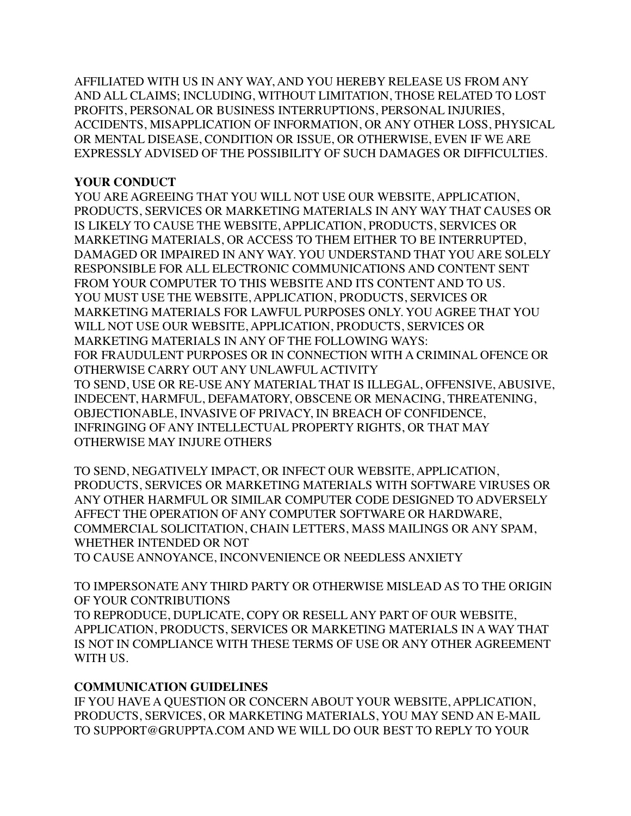AFFILIATED WITH US IN ANY WAY, AND YOU HEREBY RELEASE US FROM ANY AND ALL CLAIMS; INCLUDING, WITHOUT LIMITATION, THOSE RELATED TO LOST PROFITS, PERSONAL OR BUSINESS INTERRUPTIONS, PERSONAL INJURIES, ACCIDENTS, MISAPPLICATION OF INFORMATION, OR ANY OTHER LOSS, PHYSICAL OR MENTAL DISEASE, CONDITION OR ISSUE, OR OTHERWISE, EVEN IF WE ARE EXPRESSLY ADVISED OF THE POSSIBILITY OF SUCH DAMAGES OR DIFFICULTIES.

### **YOUR CONDUCT**

YOU ARE AGREEING THAT YOU WILL NOT USE OUR WEBSITE, APPLICATION, PRODUCTS, SERVICES OR MARKETING MATERIALS IN ANY WAY THAT CAUSES OR IS LIKELY TO CAUSE THE WEBSITE, APPLICATION, PRODUCTS, SERVICES OR MARKETING MATERIALS, OR ACCESS TO THEM EITHER TO BE INTERRUPTED, DAMAGED OR IMPAIRED IN ANY WAY. YOU UNDERSTAND THAT YOU ARE SOLELY RESPONSIBLE FOR ALL ELECTRONIC COMMUNICATIONS AND CONTENT SENT FROM YOUR COMPUTER TO THIS WEBSITE AND ITS CONTENT AND TO US. YOU MUST USE THE WEBSITE, APPLICATION, PRODUCTS, SERVICES OR MARKETING MATERIALS FOR LAWFUL PURPOSES ONLY. YOU AGREE THAT YOU WILL NOT USE OUR WEBSITE, APPLICATION, PRODUCTS, SERVICES OR MARKETING MATERIALS IN ANY OF THE FOLLOWING WAYS: FOR FRAUDULENT PURPOSES OR IN CONNECTION WITH A CRIMINAL OFENCE OR OTHERWISE CARRY OUT ANY UNLAWFUL ACTIVITY TO SEND, USE OR RE-USE ANY MATERIAL THAT IS ILLEGAL, OFFENSIVE, ABUSIVE, INDECENT, HARMFUL, DEFAMATORY, OBSCENE OR MENACING, THREATENING, OBJECTIONABLE, INVASIVE OF PRIVACY, IN BREACH OF CONFIDENCE, INFRINGING OF ANY INTELLECTUAL PROPERTY RIGHTS, OR THAT MAY OTHERWISE MAY INJURE OTHERS

TO SEND, NEGATIVELY IMPACT, OR INFECT OUR WEBSITE, APPLICATION, PRODUCTS, SERVICES OR MARKETING MATERIALS WITH SOFTWARE VIRUSES OR ANY OTHER HARMFUL OR SIMILAR COMPUTER CODE DESIGNED TO ADVERSELY AFFECT THE OPERATION OF ANY COMPUTER SOFTWARE OR HARDWARE, COMMERCIAL SOLICITATION, CHAIN LETTERS, MASS MAILINGS OR ANY SPAM, WHETHER INTENDED OR NOT

TO CAUSE ANNOYANCE, INCONVENIENCE OR NEEDLESS ANXIETY

TO IMPERSONATE ANY THIRD PARTY OR OTHERWISE MISLEAD AS TO THE ORIGIN OF YOUR CONTRIBUTIONS TO REPRODUCE, DUPLICATE, COPY OR RESELL ANY PART OF OUR WEBSITE, APPLICATION, PRODUCTS, SERVICES OR MARKETING MATERIALS IN A WAY THAT IS NOT IN COMPLIANCE WITH THESE TERMS OF USE OR ANY OTHER AGREEMENT WITH US.

### **COMMUNICATION GUIDELINES**

IF YOU HAVE A QUESTION OR CONCERN ABOUT YOUR WEBSITE, APPLICATION, PRODUCTS, SERVICES, OR MARKETING MATERIALS, YOU MAY SEND AN E-MAIL TO SUPPORT@GRUPPTA.COM AND WE WILL DO OUR BEST TO REPLY TO YOUR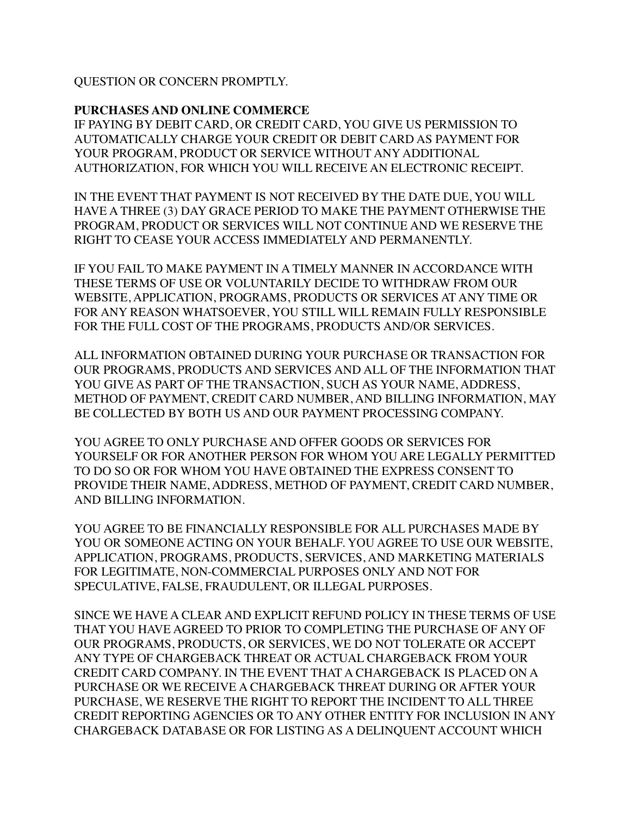QUESTION OR CONCERN PROMPTLY.

### **PURCHASES AND ONLINE COMMERCE**

IF PAYING BY DEBIT CARD, OR CREDIT CARD, YOU GIVE US PERMISSION TO AUTOMATICALLY CHARGE YOUR CREDIT OR DEBIT CARD AS PAYMENT FOR YOUR PROGRAM, PRODUCT OR SERVICE WITHOUT ANY ADDITIONAL AUTHORIZATION, FOR WHICH YOU WILL RECEIVE AN ELECTRONIC RECEIPT.

IN THE EVENT THAT PAYMENT IS NOT RECEIVED BY THE DATE DUE, YOU WILL HAVE A THREE (3) DAY GRACE PERIOD TO MAKE THE PAYMENT OTHERWISE THE PROGRAM, PRODUCT OR SERVICES WILL NOT CONTINUE AND WE RESERVE THE RIGHT TO CEASE YOUR ACCESS IMMEDIATELY AND PERMANENTLY.

IF YOU FAIL TO MAKE PAYMENT IN A TIMELY MANNER IN ACCORDANCE WITH THESE TERMS OF USE OR VOLUNTARILY DECIDE TO WITHDRAW FROM OUR WEBSITE, APPLICATION, PROGRAMS, PRODUCTS OR SERVICES AT ANY TIME OR FOR ANY REASON WHATSOEVER, YOU STILL WILL REMAIN FULLY RESPONSIBLE FOR THE FULL COST OF THE PROGRAMS, PRODUCTS AND/OR SERVICES.

ALL INFORMATION OBTAINED DURING YOUR PURCHASE OR TRANSACTION FOR OUR PROGRAMS, PRODUCTS AND SERVICES AND ALL OF THE INFORMATION THAT YOU GIVE AS PART OF THE TRANSACTION, SUCH AS YOUR NAME, ADDRESS, METHOD OF PAYMENT, CREDIT CARD NUMBER, AND BILLING INFORMATION, MAY BE COLLECTED BY BOTH US AND OUR PAYMENT PROCESSING COMPANY.

YOU AGREE TO ONLY PURCHASE AND OFFER GOODS OR SERVICES FOR YOURSELF OR FOR ANOTHER PERSON FOR WHOM YOU ARE LEGALLY PERMITTED TO DO SO OR FOR WHOM YOU HAVE OBTAINED THE EXPRESS CONSENT TO PROVIDE THEIR NAME, ADDRESS, METHOD OF PAYMENT, CREDIT CARD NUMBER, AND BILLING INFORMATION.

YOU AGREE TO BE FINANCIALLY RESPONSIBLE FOR ALL PURCHASES MADE BY YOU OR SOMEONE ACTING ON YOUR BEHALF. YOU AGREE TO USE OUR WEBSITE, APPLICATION, PROGRAMS, PRODUCTS, SERVICES, AND MARKETING MATERIALS FOR LEGITIMATE, NON-COMMERCIAL PURPOSES ONLY AND NOT FOR SPECULATIVE, FALSE, FRAUDULENT, OR ILLEGAL PURPOSES.

SINCE WE HAVE A CLEAR AND EXPLICIT REFUND POLICY IN THESE TERMS OF USE THAT YOU HAVE AGREED TO PRIOR TO COMPLETING THE PURCHASE OF ANY OF OUR PROGRAMS, PRODUCTS, OR SERVICES, WE DO NOT TOLERATE OR ACCEPT ANY TYPE OF CHARGEBACK THREAT OR ACTUAL CHARGEBACK FROM YOUR CREDIT CARD COMPANY. IN THE EVENT THAT A CHARGEBACK IS PLACED ON A PURCHASE OR WE RECEIVE A CHARGEBACK THREAT DURING OR AFTER YOUR PURCHASE, WE RESERVE THE RIGHT TO REPORT THE INCIDENT TO ALL THREE CREDIT REPORTING AGENCIES OR TO ANY OTHER ENTITY FOR INCLUSION IN ANY CHARGEBACK DATABASE OR FOR LISTING AS A DELINQUENT ACCOUNT WHICH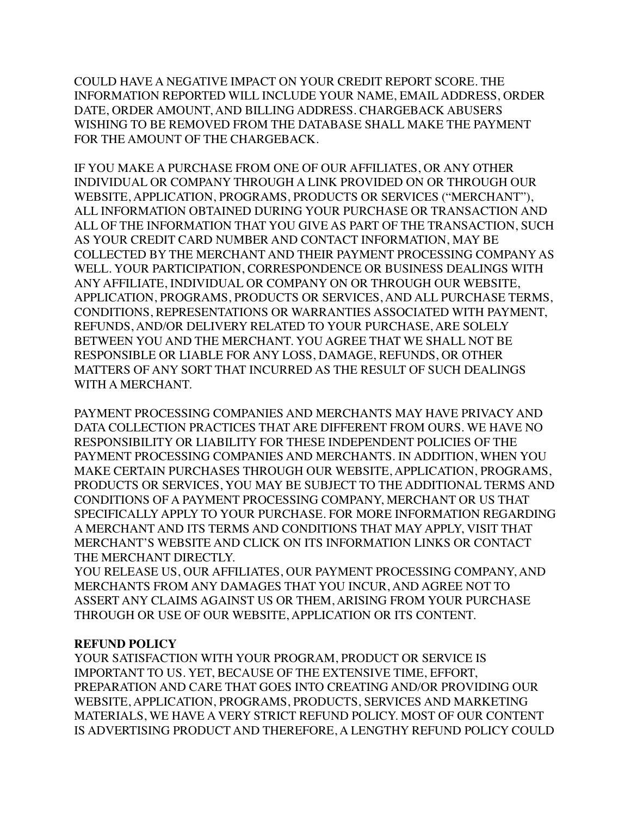COULD HAVE A NEGATIVE IMPACT ON YOUR CREDIT REPORT SCORE. THE INFORMATION REPORTED WILL INCLUDE YOUR NAME, EMAIL ADDRESS, ORDER DATE, ORDER AMOUNT, AND BILLING ADDRESS. CHARGEBACK ABUSERS WISHING TO BE REMOVED FROM THE DATABASE SHALL MAKE THE PAYMENT FOR THE AMOUNT OF THE CHARGEBACK.

IF YOU MAKE A PURCHASE FROM ONE OF OUR AFFILIATES, OR ANY OTHER INDIVIDUAL OR COMPANY THROUGH A LINK PROVIDED ON OR THROUGH OUR WEBSITE, APPLICATION, PROGRAMS, PRODUCTS OR SERVICES ("MERCHANT"), ALL INFORMATION OBTAINED DURING YOUR PURCHASE OR TRANSACTION AND ALL OF THE INFORMATION THAT YOU GIVE AS PART OF THE TRANSACTION, SUCH AS YOUR CREDIT CARD NUMBER AND CONTACT INFORMATION, MAY BE COLLECTED BY THE MERCHANT AND THEIR PAYMENT PROCESSING COMPANY AS WELL. YOUR PARTICIPATION, CORRESPONDENCE OR BUSINESS DEALINGS WITH ANY AFFILIATE, INDIVIDUAL OR COMPANY ON OR THROUGH OUR WEBSITE, APPLICATION, PROGRAMS, PRODUCTS OR SERVICES, AND ALL PURCHASE TERMS, CONDITIONS, REPRESENTATIONS OR WARRANTIES ASSOCIATED WITH PAYMENT, REFUNDS, AND/OR DELIVERY RELATED TO YOUR PURCHASE, ARE SOLELY BETWEEN YOU AND THE MERCHANT. YOU AGREE THAT WE SHALL NOT BE RESPONSIBLE OR LIABLE FOR ANY LOSS, DAMAGE, REFUNDS, OR OTHER MATTERS OF ANY SORT THAT INCURRED AS THE RESULT OF SUCH DEALINGS WITH A MERCHANT.

PAYMENT PROCESSING COMPANIES AND MERCHANTS MAY HAVE PRIVACY AND DATA COLLECTION PRACTICES THAT ARE DIFFERENT FROM OURS. WE HAVE NO RESPONSIBILITY OR LIABILITY FOR THESE INDEPENDENT POLICIES OF THE PAYMENT PROCESSING COMPANIES AND MERCHANTS. IN ADDITION, WHEN YOU MAKE CERTAIN PURCHASES THROUGH OUR WEBSITE, APPLICATION, PROGRAMS, PRODUCTS OR SERVICES, YOU MAY BE SUBJECT TO THE ADDITIONAL TERMS AND CONDITIONS OF A PAYMENT PROCESSING COMPANY, MERCHANT OR US THAT SPECIFICALLY APPLY TO YOUR PURCHASE. FOR MORE INFORMATION REGARDING A MERCHANT AND ITS TERMS AND CONDITIONS THAT MAY APPLY, VISIT THAT MERCHANT'S WEBSITE AND CLICK ON ITS INFORMATION LINKS OR CONTACT THE MERCHANT DIRECTLY.

YOU RELEASE US, OUR AFFILIATES, OUR PAYMENT PROCESSING COMPANY, AND MERCHANTS FROM ANY DAMAGES THAT YOU INCUR, AND AGREE NOT TO ASSERT ANY CLAIMS AGAINST US OR THEM, ARISING FROM YOUR PURCHASE THROUGH OR USE OF OUR WEBSITE, APPLICATION OR ITS CONTENT.

#### **REFUND POLICY**

YOUR SATISFACTION WITH YOUR PROGRAM, PRODUCT OR SERVICE IS IMPORTANT TO US. YET, BECAUSE OF THE EXTENSIVE TIME, EFFORT, PREPARATION AND CARE THAT GOES INTO CREATING AND/OR PROVIDING OUR WEBSITE, APPLICATION, PROGRAMS, PRODUCTS, SERVICES AND MARKETING MATERIALS, WE HAVE A VERY STRICT REFUND POLICY. MOST OF OUR CONTENT IS ADVERTISING PRODUCT AND THEREFORE, A LENGTHY REFUND POLICY COULD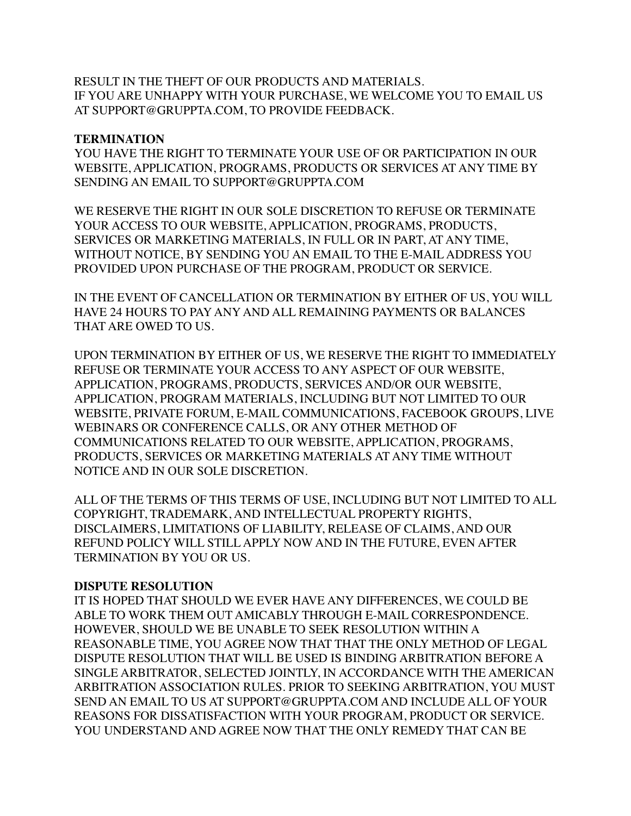RESULT IN THE THEFT OF OUR PRODUCTS AND MATERIALS. IF YOU ARE UNHAPPY WITH YOUR PURCHASE, WE WELCOME YOU TO EMAIL US AT SUPPORT@GRUPPTA.COM, TO PROVIDE FEEDBACK.

#### **TERMINATION**

YOU HAVE THE RIGHT TO TERMINATE YOUR USE OF OR PARTICIPATION IN OUR WEBSITE, APPLICATION, PROGRAMS, PRODUCTS OR SERVICES AT ANY TIME BY SENDING AN EMAIL TO SUPPORT@GRUPPTA.COM

WE RESERVE THE RIGHT IN OUR SOLE DISCRETION TO REFUSE OR TERMINATE YOUR ACCESS TO OUR WEBSITE, APPLICATION, PROGRAMS, PRODUCTS, SERVICES OR MARKETING MATERIALS, IN FULL OR IN PART, AT ANY TIME, WITHOUT NOTICE, BY SENDING YOU AN EMAIL TO THE E-MAIL ADDRESS YOU PROVIDED UPON PURCHASE OF THE PROGRAM, PRODUCT OR SERVICE.

IN THE EVENT OF CANCELLATION OR TERMINATION BY EITHER OF US, YOU WILL HAVE 24 HOURS TO PAY ANY AND ALL REMAINING PAYMENTS OR BALANCES THAT ARE OWED TO US.

UPON TERMINATION BY EITHER OF US, WE RESERVE THE RIGHT TO IMMEDIATELY REFUSE OR TERMINATE YOUR ACCESS TO ANY ASPECT OF OUR WEBSITE, APPLICATION, PROGRAMS, PRODUCTS, SERVICES AND/OR OUR WEBSITE, APPLICATION, PROGRAM MATERIALS, INCLUDING BUT NOT LIMITED TO OUR WEBSITE, PRIVATE FORUM, E-MAIL COMMUNICATIONS, FACEBOOK GROUPS, LIVE WEBINARS OR CONFERENCE CALLS, OR ANY OTHER METHOD OF COMMUNICATIONS RELATED TO OUR WEBSITE, APPLICATION, PROGRAMS, PRODUCTS, SERVICES OR MARKETING MATERIALS AT ANY TIME WITHOUT NOTICE AND IN OUR SOLE DISCRETION.

ALL OF THE TERMS OF THIS TERMS OF USE, INCLUDING BUT NOT LIMITED TO ALL COPYRIGHT, TRADEMARK, AND INTELLECTUAL PROPERTY RIGHTS, DISCLAIMERS, LIMITATIONS OF LIABILITY, RELEASE OF CLAIMS, AND OUR REFUND POLICY WILL STILL APPLY NOW AND IN THE FUTURE, EVEN AFTER TERMINATION BY YOU OR US.

#### **DISPUTE RESOLUTION**

IT IS HOPED THAT SHOULD WE EVER HAVE ANY DIFFERENCES, WE COULD BE ABLE TO WORK THEM OUT AMICABLY THROUGH E-MAIL CORRESPONDENCE. HOWEVER, SHOULD WE BE UNABLE TO SEEK RESOLUTION WITHIN A REASONABLE TIME, YOU AGREE NOW THAT THAT THE ONLY METHOD OF LEGAL DISPUTE RESOLUTION THAT WILL BE USED IS BINDING ARBITRATION BEFORE A SINGLE ARBITRATOR, SELECTED JOINTLY, IN ACCORDANCE WITH THE AMERICAN ARBITRATION ASSOCIATION RULES. PRIOR TO SEEKING ARBITRATION, YOU MUST SEND AN EMAIL TO US AT SUPPORT@GRUPPTA.COM AND INCLUDE ALL OF YOUR REASONS FOR DISSATISFACTION WITH YOUR PROGRAM, PRODUCT OR SERVICE. YOU UNDERSTAND AND AGREE NOW THAT THE ONLY REMEDY THAT CAN BE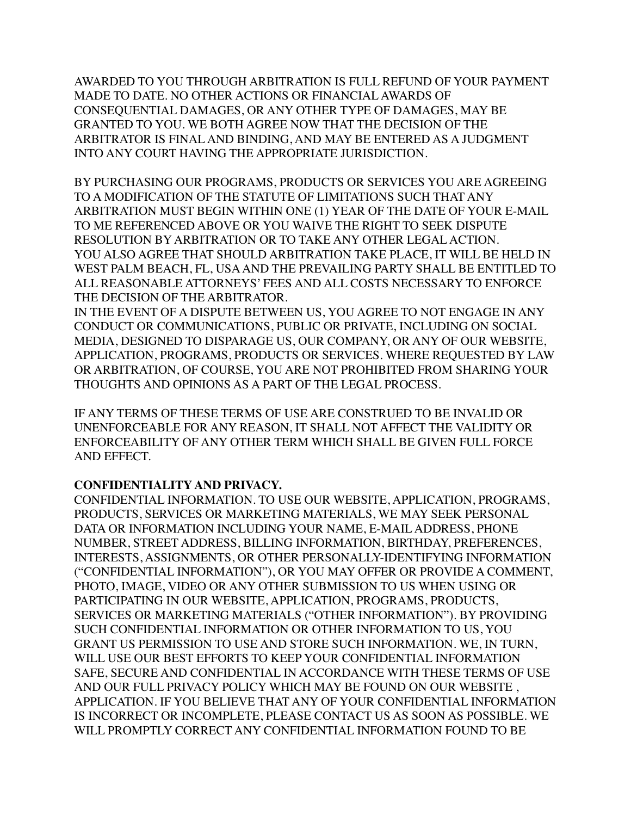AWARDED TO YOU THROUGH ARBITRATION IS FULL REFUND OF YOUR PAYMENT MADE TO DATE. NO OTHER ACTIONS OR FINANCIAL AWARDS OF CONSEQUENTIAL DAMAGES, OR ANY OTHER TYPE OF DAMAGES, MAY BE GRANTED TO YOU. WE BOTH AGREE NOW THAT THE DECISION OF THE ARBITRATOR IS FINAL AND BINDING, AND MAY BE ENTERED AS A JUDGMENT INTO ANY COURT HAVING THE APPROPRIATE JURISDICTION.

BY PURCHASING OUR PROGRAMS, PRODUCTS OR SERVICES YOU ARE AGREEING TO A MODIFICATION OF THE STATUTE OF LIMITATIONS SUCH THAT ANY ARBITRATION MUST BEGIN WITHIN ONE (1) YEAR OF THE DATE OF YOUR E-MAIL TO ME REFERENCED ABOVE OR YOU WAIVE THE RIGHT TO SEEK DISPUTE RESOLUTION BY ARBITRATION OR TO TAKE ANY OTHER LEGAL ACTION. YOU ALSO AGREE THAT SHOULD ARBITRATION TAKE PLACE, IT WILL BE HELD IN WEST PALM BEACH, FL, USA AND THE PREVAILING PARTY SHALL BE ENTITLED TO ALL REASONABLE ATTORNEYS' FEES AND ALL COSTS NECESSARY TO ENFORCE THE DECISION OF THE ARBITRATOR.

IN THE EVENT OF A DISPUTE BETWEEN US, YOU AGREE TO NOT ENGAGE IN ANY CONDUCT OR COMMUNICATIONS, PUBLIC OR PRIVATE, INCLUDING ON SOCIAL MEDIA, DESIGNED TO DISPARAGE US, OUR COMPANY, OR ANY OF OUR WEBSITE, APPLICATION, PROGRAMS, PRODUCTS OR SERVICES. WHERE REQUESTED BY LAW OR ARBITRATION, OF COURSE, YOU ARE NOT PROHIBITED FROM SHARING YOUR THOUGHTS AND OPINIONS AS A PART OF THE LEGAL PROCESS.

IF ANY TERMS OF THESE TERMS OF USE ARE CONSTRUED TO BE INVALID OR UNENFORCEABLE FOR ANY REASON, IT SHALL NOT AFFECT THE VALIDITY OR ENFORCEABILITY OF ANY OTHER TERM WHICH SHALL BE GIVEN FULL FORCE AND EFFECT.

### **CONFIDENTIALITY AND PRIVACY.**

CONFIDENTIAL INFORMATION. TO USE OUR WEBSITE, APPLICATION, PROGRAMS, PRODUCTS, SERVICES OR MARKETING MATERIALS, WE MAY SEEK PERSONAL DATA OR INFORMATION INCLUDING YOUR NAME, E-MAIL ADDRESS, PHONE NUMBER, STREET ADDRESS, BILLING INFORMATION, BIRTHDAY, PREFERENCES, INTERESTS, ASSIGNMENTS, OR OTHER PERSONALLY-IDENTIFYING INFORMATION ("CONFIDENTIAL INFORMATION"), OR YOU MAY OFFER OR PROVIDE A COMMENT, PHOTO, IMAGE, VIDEO OR ANY OTHER SUBMISSION TO US WHEN USING OR PARTICIPATING IN OUR WEBSITE, APPLICATION, PROGRAMS, PRODUCTS, SERVICES OR MARKETING MATERIALS ("OTHER INFORMATION"). BY PROVIDING SUCH CONFIDENTIAL INFORMATION OR OTHER INFORMATION TO US, YOU GRANT US PERMISSION TO USE AND STORE SUCH INFORMATION. WE, IN TURN, WILL USE OUR BEST EFFORTS TO KEEP YOUR CONFIDENTIAL INFORMATION SAFE, SECURE AND CONFIDENTIAL IN ACCORDANCE WITH THESE TERMS OF USE AND OUR FULL PRIVACY POLICY WHICH MAY BE FOUND ON OUR WEBSITE , APPLICATION. IF YOU BELIEVE THAT ANY OF YOUR CONFIDENTIAL INFORMATION IS INCORRECT OR INCOMPLETE, PLEASE CONTACT US AS SOON AS POSSIBLE. WE WILL PROMPTLY CORRECT ANY CONFIDENTIAL INFORMATION FOUND TO BE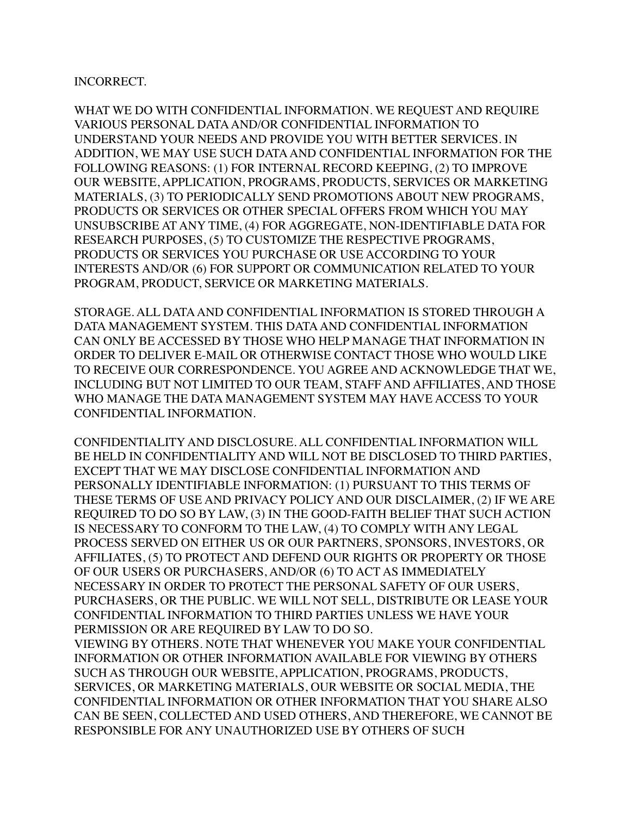#### INCORRECT.

WHAT WE DO WITH CONFIDENTIAL INFORMATION. WE REQUEST AND REQUIRE VARIOUS PERSONAL DATA AND/OR CONFIDENTIAL INFORMATION TO UNDERSTAND YOUR NEEDS AND PROVIDE YOU WITH BETTER SERVICES. IN ADDITION, WE MAY USE SUCH DATA AND CONFIDENTIAL INFORMATION FOR THE FOLLOWING REASONS: (1) FOR INTERNAL RECORD KEEPING, (2) TO IMPROVE OUR WEBSITE, APPLICATION, PROGRAMS, PRODUCTS, SERVICES OR MARKETING MATERIALS, (3) TO PERIODICALLY SEND PROMOTIONS ABOUT NEW PROGRAMS, PRODUCTS OR SERVICES OR OTHER SPECIAL OFFERS FROM WHICH YOU MAY UNSUBSCRIBE AT ANY TIME, (4) FOR AGGREGATE, NON-IDENTIFIABLE DATA FOR RESEARCH PURPOSES, (5) TO CUSTOMIZE THE RESPECTIVE PROGRAMS, PRODUCTS OR SERVICES YOU PURCHASE OR USE ACCORDING TO YOUR INTERESTS AND/OR (6) FOR SUPPORT OR COMMUNICATION RELATED TO YOUR PROGRAM, PRODUCT, SERVICE OR MARKETING MATERIALS.

STORAGE. ALL DATA AND CONFIDENTIAL INFORMATION IS STORED THROUGH A DATA MANAGEMENT SYSTEM. THIS DATA AND CONFIDENTIAL INFORMATION CAN ONLY BE ACCESSED BY THOSE WHO HELP MANAGE THAT INFORMATION IN ORDER TO DELIVER E-MAIL OR OTHERWISE CONTACT THOSE WHO WOULD LIKE TO RECEIVE OUR CORRESPONDENCE. YOU AGREE AND ACKNOWLEDGE THAT WE, INCLUDING BUT NOT LIMITED TO OUR TEAM, STAFF AND AFFILIATES, AND THOSE WHO MANAGE THE DATA MANAGEMENT SYSTEM MAY HAVE ACCESS TO YOUR CONFIDENTIAL INFORMATION.

CONFIDENTIALITY AND DISCLOSURE. ALL CONFIDENTIAL INFORMATION WILL BE HELD IN CONFIDENTIALITY AND WILL NOT BE DISCLOSED TO THIRD PARTIES, EXCEPT THAT WE MAY DISCLOSE CONFIDENTIAL INFORMATION AND PERSONALLY IDENTIFIABLE INFORMATION: (1) PURSUANT TO THIS TERMS OF THESE TERMS OF USE AND PRIVACY POLICY AND OUR DISCLAIMER, (2) IF WE ARE REQUIRED TO DO SO BY LAW, (3) IN THE GOOD-FAITH BELIEF THAT SUCH ACTION IS NECESSARY TO CONFORM TO THE LAW, (4) TO COMPLY WITH ANY LEGAL PROCESS SERVED ON EITHER US OR OUR PARTNERS, SPONSORS, INVESTORS, OR AFFILIATES, (5) TO PROTECT AND DEFEND OUR RIGHTS OR PROPERTY OR THOSE OF OUR USERS OR PURCHASERS, AND/OR (6) TO ACT AS IMMEDIATELY NECESSARY IN ORDER TO PROTECT THE PERSONAL SAFETY OF OUR USERS, PURCHASERS, OR THE PUBLIC. WE WILL NOT SELL, DISTRIBUTE OR LEASE YOUR CONFIDENTIAL INFORMATION TO THIRD PARTIES UNLESS WE HAVE YOUR PERMISSION OR ARE REQUIRED BY LAW TO DO SO.

VIEWING BY OTHERS. NOTE THAT WHENEVER YOU MAKE YOUR CONFIDENTIAL INFORMATION OR OTHER INFORMATION AVAILABLE FOR VIEWING BY OTHERS SUCH AS THROUGH OUR WEBSITE, APPLICATION, PROGRAMS, PRODUCTS, SERVICES, OR MARKETING MATERIALS, OUR WEBSITE OR SOCIAL MEDIA, THE CONFIDENTIAL INFORMATION OR OTHER INFORMATION THAT YOU SHARE ALSO CAN BE SEEN, COLLECTED AND USED OTHERS, AND THEREFORE, WE CANNOT BE RESPONSIBLE FOR ANY UNAUTHORIZED USE BY OTHERS OF SUCH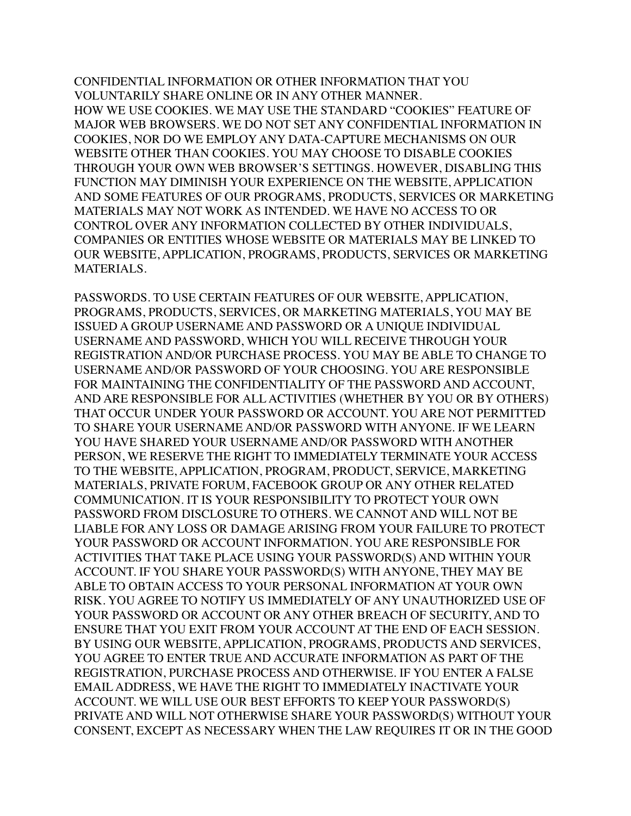CONFIDENTIAL INFORMATION OR OTHER INFORMATION THAT YOU VOLUNTARILY SHARE ONLINE OR IN ANY OTHER MANNER. HOW WE USE COOKIES. WE MAY USE THE STANDARD "COOKIES" FEATURE OF MAJOR WEB BROWSERS. WE DO NOT SET ANY CONFIDENTIAL INFORMATION IN COOKIES, NOR DO WE EMPLOY ANY DATA-CAPTURE MECHANISMS ON OUR WEBSITE OTHER THAN COOKIES. YOU MAY CHOOSE TO DISABLE COOKIES THROUGH YOUR OWN WEB BROWSER'S SETTINGS. HOWEVER, DISABLING THIS FUNCTION MAY DIMINISH YOUR EXPERIENCE ON THE WEBSITE, APPLICATION AND SOME FEATURES OF OUR PROGRAMS, PRODUCTS, SERVICES OR MARKETING MATERIALS MAY NOT WORK AS INTENDED. WE HAVE NO ACCESS TO OR CONTROL OVER ANY INFORMATION COLLECTED BY OTHER INDIVIDUALS, COMPANIES OR ENTITIES WHOSE WEBSITE OR MATERIALS MAY BE LINKED TO OUR WEBSITE, APPLICATION, PROGRAMS, PRODUCTS, SERVICES OR MARKETING MATERIALS.

PASSWORDS. TO USE CERTAIN FEATURES OF OUR WEBSITE, APPLICATION, PROGRAMS, PRODUCTS, SERVICES, OR MARKETING MATERIALS, YOU MAY BE ISSUED A GROUP USERNAME AND PASSWORD OR A UNIQUE INDIVIDUAL USERNAME AND PASSWORD, WHICH YOU WILL RECEIVE THROUGH YOUR REGISTRATION AND/OR PURCHASE PROCESS. YOU MAY BE ABLE TO CHANGE TO USERNAME AND/OR PASSWORD OF YOUR CHOOSING. YOU ARE RESPONSIBLE FOR MAINTAINING THE CONFIDENTIALITY OF THE PASSWORD AND ACCOUNT, AND ARE RESPONSIBLE FOR ALL ACTIVITIES (WHETHER BY YOU OR BY OTHERS) THAT OCCUR UNDER YOUR PASSWORD OR ACCOUNT. YOU ARE NOT PERMITTED TO SHARE YOUR USERNAME AND/OR PASSWORD WITH ANYONE. IF WE LEARN YOU HAVE SHARED YOUR USERNAME AND/OR PASSWORD WITH ANOTHER PERSON, WE RESERVE THE RIGHT TO IMMEDIATELY TERMINATE YOUR ACCESS TO THE WEBSITE, APPLICATION, PROGRAM, PRODUCT, SERVICE, MARKETING MATERIALS, PRIVATE FORUM, FACEBOOK GROUP OR ANY OTHER RELATED COMMUNICATION. IT IS YOUR RESPONSIBILITY TO PROTECT YOUR OWN PASSWORD FROM DISCLOSURE TO OTHERS. WE CANNOT AND WILL NOT BE LIABLE FOR ANY LOSS OR DAMAGE ARISING FROM YOUR FAILURE TO PROTECT YOUR PASSWORD OR ACCOUNT INFORMATION. YOU ARE RESPONSIBLE FOR ACTIVITIES THAT TAKE PLACE USING YOUR PASSWORD(S) AND WITHIN YOUR ACCOUNT. IF YOU SHARE YOUR PASSWORD(S) WITH ANYONE, THEY MAY BE ABLE TO OBTAIN ACCESS TO YOUR PERSONAL INFORMATION AT YOUR OWN RISK. YOU AGREE TO NOTIFY US IMMEDIATELY OF ANY UNAUTHORIZED USE OF YOUR PASSWORD OR ACCOUNT OR ANY OTHER BREACH OF SECURITY, AND TO ENSURE THAT YOU EXIT FROM YOUR ACCOUNT AT THE END OF EACH SESSION. BY USING OUR WEBSITE, APPLICATION, PROGRAMS, PRODUCTS AND SERVICES, YOU AGREE TO ENTER TRUE AND ACCURATE INFORMATION AS PART OF THE REGISTRATION, PURCHASE PROCESS AND OTHERWISE. IF YOU ENTER A FALSE EMAIL ADDRESS, WE HAVE THE RIGHT TO IMMEDIATELY INACTIVATE YOUR ACCOUNT. WE WILL USE OUR BEST EFFORTS TO KEEP YOUR PASSWORD(S) PRIVATE AND WILL NOT OTHERWISE SHARE YOUR PASSWORD(S) WITHOUT YOUR CONSENT, EXCEPT AS NECESSARY WHEN THE LAW REQUIRES IT OR IN THE GOOD